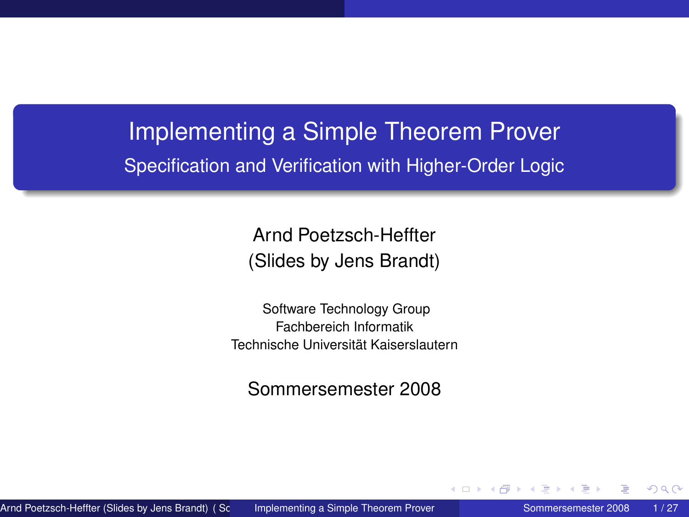# Implementing a Simple Theorem Prover Specification and Verification with Higher-Order Logic

Arnd Poetzsch-Heffter (Slides by Jens Brandt)

Software Technology Group Fachbereich Informatik Technische Universität Kaiserslautern

<span id="page-0-0"></span>Sommersemester 2008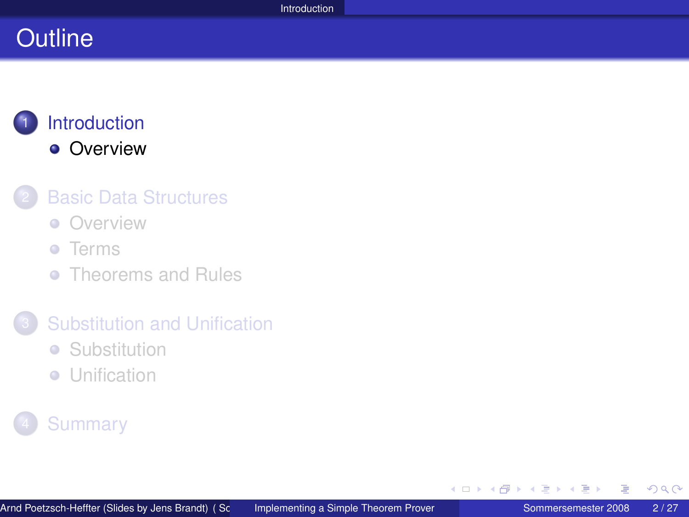# **Outline**

### **[Introduction](#page-1-0) •** [Overview](#page-2-0)

### **[Basic Data Structures](#page-3-0)**

**[Overview](#page-4-0)** 

#### **o** [Terms](#page-5-0)

**• [Theorems and Rules](#page-10-0)** 

#### 3 [Substitution and Unification](#page-16-0)

- **•** [Substitution](#page-17-0)
- **•** [Unification](#page-22-0)

### **[Summary](#page-25-0)**

<span id="page-1-0"></span>イヨト

∢ ロ ▶ ∢ 伊 ▶ ∢ ヨ ▶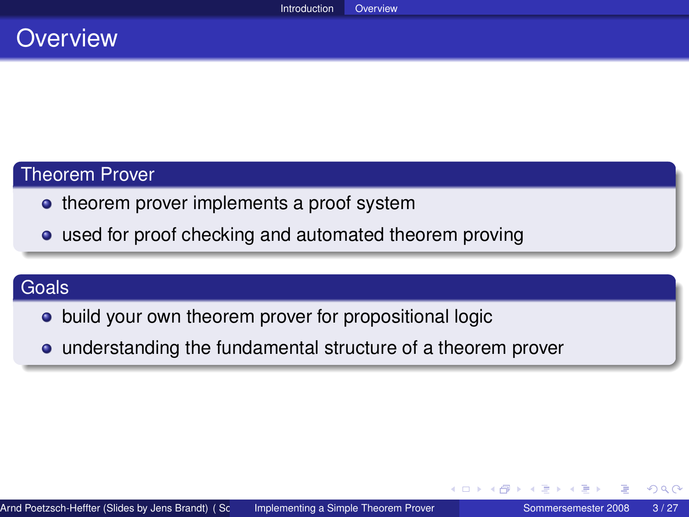### **Overview**

#### Theorem Prover

- theorem prover implements a proof system
- used for proof checking and automated theorem proving

### Goals

- build your own theorem prover for propositional logic
- understanding the fundamental structure of a theorem prover

<span id="page-2-0"></span>イロト イ母 トイヨ トイヨト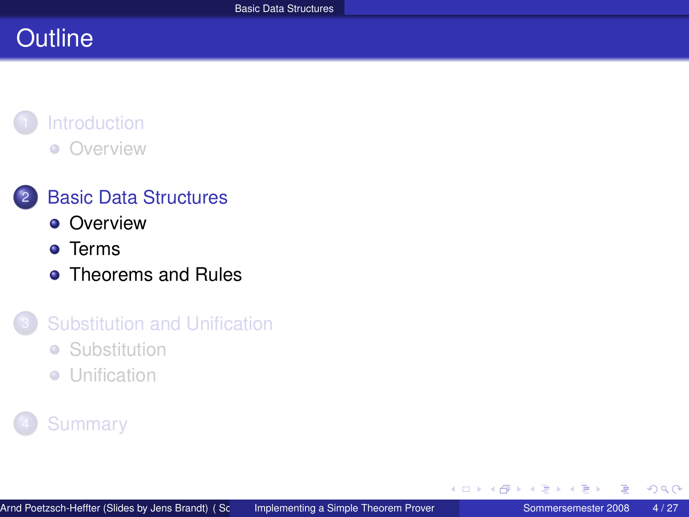# **Outline**

# **[Introduction](#page-1-0)**

[Overview](#page-2-0)  $\bullet$ 

### 2 [Basic Data Structures](#page-3-0)

- **[Overview](#page-4-0)**
- **•** [Terms](#page-5-0)
- [Theorems and Rules](#page-10-0)

### **[Substitution and Unification](#page-16-0)**

- **•** [Substitution](#page-17-0)
- **•** [Unification](#page-22-0)

### **[Summary](#page-25-0)**

<span id="page-3-0"></span>目

4 0 F  $\mathcal{A}$ A + + 3 +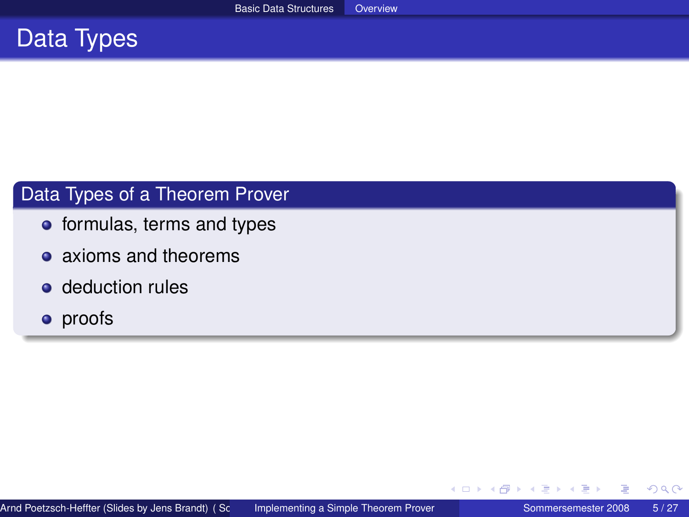

#### Data Types of a Theorem Prover

- **o** formulas, terms and types
- axioms and theorems
- deduction rules
- **•** proofs

<span id="page-4-0"></span>扂

∢ 重 ≯

4 0 8 4

A + + 3 +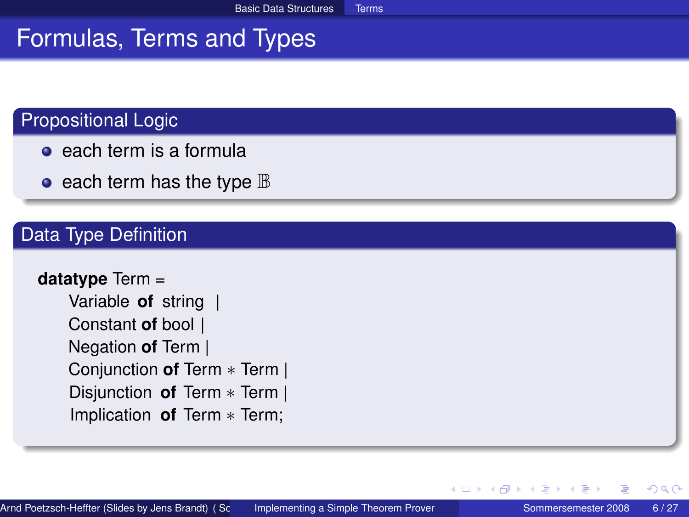# Formulas, Terms and Types

#### Propositional Logic

- $\bullet$  each term is a formula
- $\bullet$  each term has the type  $\mathbb B$

#### Data Type Definition

```
datatype Term =
    Variable of string |
    Constant of bool |
   Negation of Term |
    Conjunction of Term ∗ Term |
    Disjunction of Term ∗ Term |
    Implication of Term ∗ Term;
```
<span id="page-5-0"></span>∢ ロ ▶ ∢ 御 ▶ ∢ ヨ ▶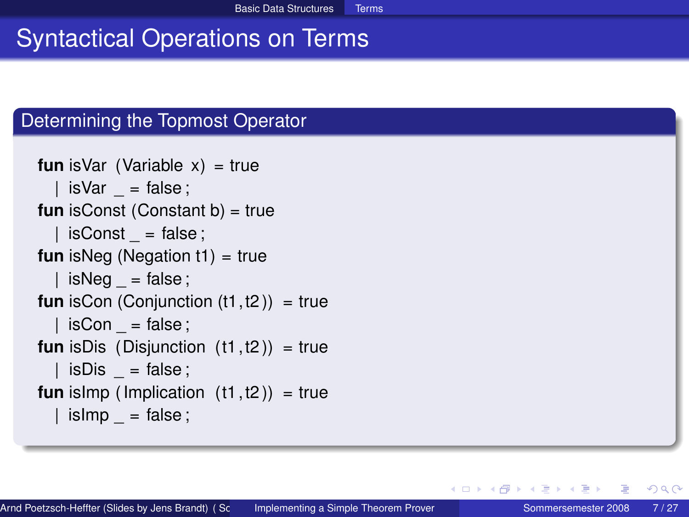# Syntactical Operations on Terms

#### Determining the Topmost Operator

```
fun is Var (Variable x) = true
  \vert isVar = false;
fun isConst (Constant b) = true
  | isConst = false;
fun isNeg (Negation t1) = true
  | isNeg = false;
fun isCon (Conjunction (t1, t2)) = true
  | isCon = false;
fun isDis (Disjunction (t1, t2)) = true
    isDis = false;
fun islmp (Implication (t1, t2)) = true
  | is\mathsf{Imp} = \mathsf{false} ;
```
イロト イ母 トイヨ トイヨ トー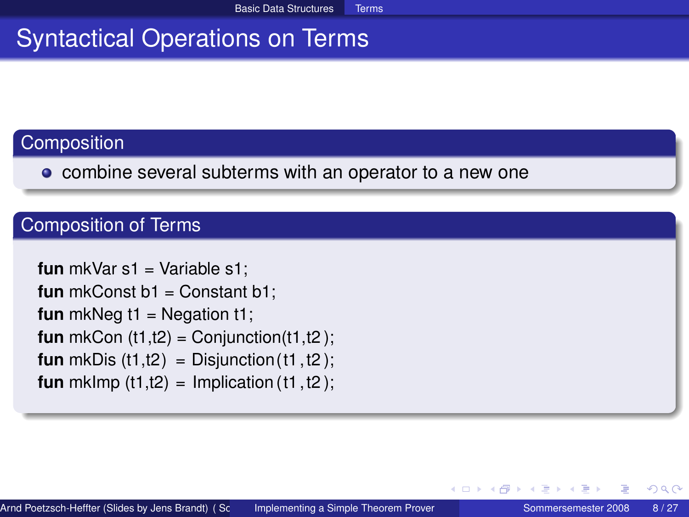# Syntactical Operations on Terms

### **Composition**

• combine several subterms with an operator to a new one

#### Composition of Terms

**fun** mkVar s1 = Variable s1: **fun** mkConst b1 = Constant b1: **fun** mkNeg  $t1$  = Negation  $t1$ ; **fun** mkCon  $(t1,t2)$  = Conjunction $(t1,t2)$ ; **fun** mkDis  $(t1,t2)$  = Disjunction  $(t1, t2)$ ; **fun** mklmp  $(t1,t2) =$  Implication  $(t1, t2)$ ;

つへへ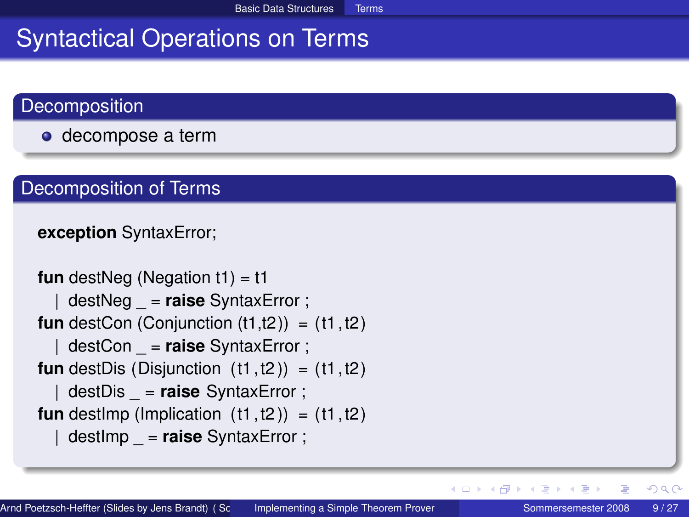# Syntactical Operations on Terms

#### **Decomposition**

**o** decompose a term

#### Decomposition of Terms

#### **exception** SyntaxError;

```
fun destNeg (Negation t1) = t1
    | destNeg _ = raise SyntaxError ;
fun destCon (Conjunction (t1,t2)) = (t1,t2)| destCon _ = raise SyntaxError ;
fun destDis (Disjunction (t1, t2)) = (t1, t2)| destDis _ = raise SyntaxError ;
fun destImp (Implication (t1, t2)) = (t1, t2)destImp = raise SyntaxError ;
```
Ξ

 $2Q$ 

K ロ ▶ K 御 ▶ K 唐 ▶ K 唐 ▶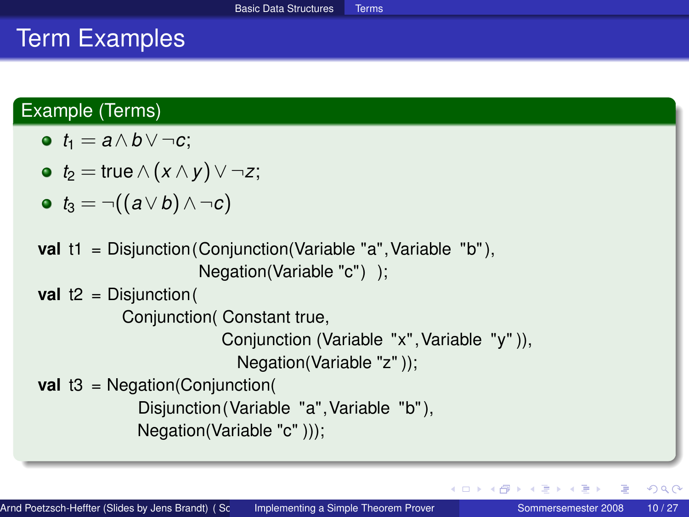# Term Examples

#### Example (Terms)

$$
\bullet \ \ t_1 = a \wedge b \vee \neg c;
$$

• 
$$
t_2 = \text{true} \land (x \land y) \lor \neg z;
$$

$$
\bullet \ \ t_3 = \neg((a \vee b) \wedge \neg c)
$$

```
val t1 = Disjunction (Conjunction (Variable "a", Variable "b"),
                      Negation(Variable "c") );
```

```
val t2 = Disjunction (
```

```
Conjunction( Constant true,
```

```
Conjunction (Variable "x",Variable "y" )),
```

```
Negation(Variable "z" ));
```

```
val t3 = Negation(Conjunction(
```

```
Disjunction (Variable "a",Variable "b" ),
```

```
Negation(Variable "c" )));
```
イロト イ母 トイヨ トイヨト

 $QQ$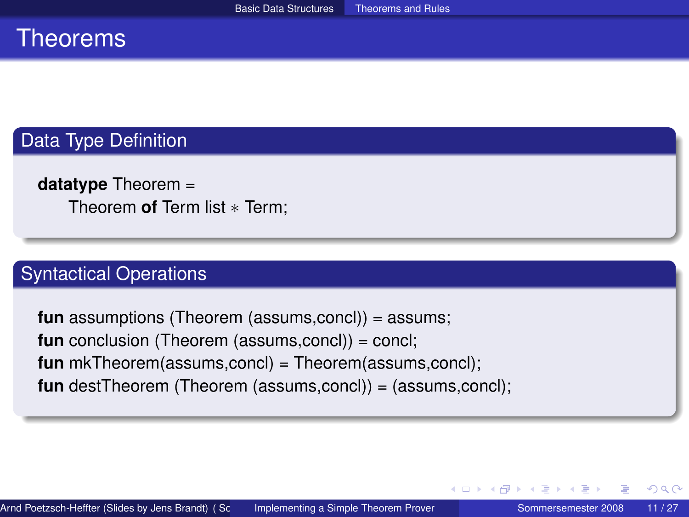### **Theorems**

#### Data Type Definition

**datatype** Theorem = Theorem **of** Term list ∗ Term;

#### Syntactical Operations

<span id="page-10-0"></span>**fun** assumptions (Theorem (assums,concl)) = assums; **fun** conclusion (Theorem (assums,concl)) = concl; **fun** mkTheorem(assums,concl) = Theorem(assums,concl); **fun** destTheorem (Theorem (assums,concl)) = (assums,concl);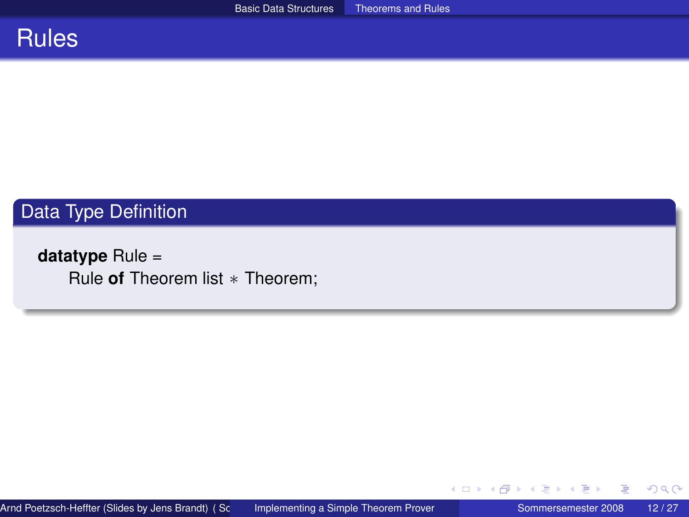

### Data Type Definition

**datatype** Rule = Rule **of** Theorem list ∗ Theorem;

扂

イロト (個) (注) (注)

 $299$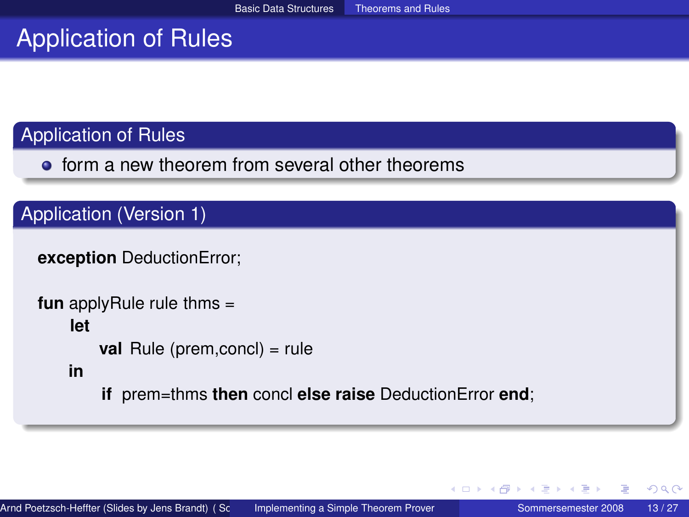### Application of Rules

**•** form a new theorem from several other theorems

### Application (Version 1)

```
exception DeductionError;
```

```
fun applyRule rule thms =
    let
        val Rule (prem, concl) = rule
   in
        if prem=thms then concl else raise DeductionError end;
```
イヨト

∢ □ ▶ ∢ 何 ▶ ∢ ∃ ▶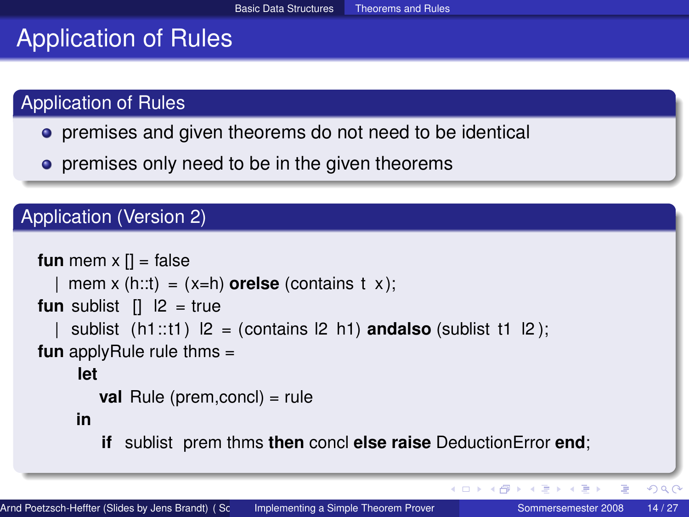### Application of Rules

- **•** premises and given theorems do not need to be identical
- **•** premises only need to be in the given theorems

### Application (Version 2)

```
fun mem x \vert \vert = false
    mem x (h::t) = (x=h) orelse (contains t x);
fun sublist [1 \ 12 = truesublist (h1::t1) |2 = (contains 12 h1) andalso (sublist t1 |2);
fun applyRule rule thms =
     let
        val Rule (prem,concl) = rule
     in
        if sublist prem thms then concl else raise DeductionError end;
```
 $2Q$ 

K ロ ▶ K 御 ▶ K 唐 ▶ K 唐 ▶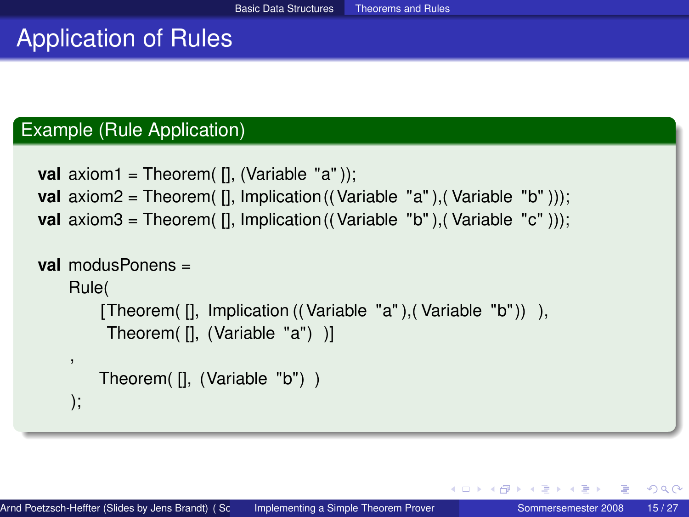#### Example (Rule Application)

```
val axiom1 = Theorem( [], (Variable "a"));
val axiom2 = Theorem( [], Implication((Variable "a"),(Variable "b")));
val axiom3 = Theorem( [], Implication((Variable "b"),(Variable "c")));
```

```
val modusPonens =
    Rule(
        [Theorem( [], Implication ((Variable "a" ),( Variable "b" )) ),
         Theorem( [], (Variable "a") )]
    ,
        Theorem( [], (Variable "b") )
    );
```
K ロ ト K 何 ト K ヨ ト K ヨ ト …

 $QQ$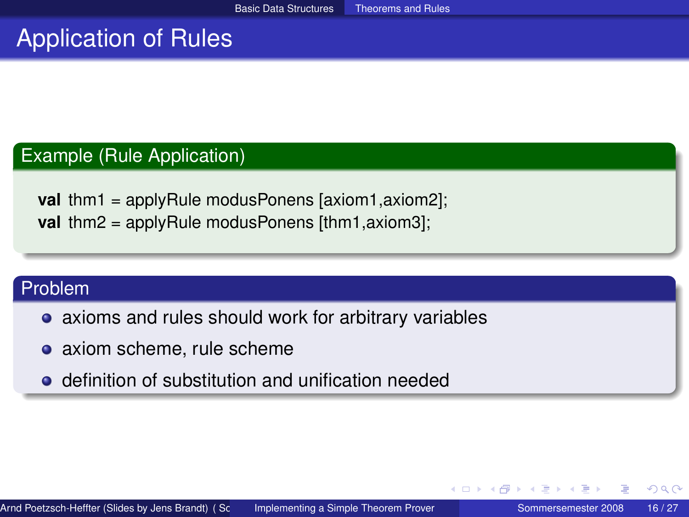#### Example (Rule Application)

**val** thm1 = applyRule modusPonens [axiom1,axiom2]; **val** thm2 = applyRule modusPonens [thm1,axiom3];

#### Problem

- axioms and rules should work for arbitrary variables
- axiom scheme, rule scheme
- **•** definition of substitution and unification needed

イロト イ母 トイヨ トイヨト

 $QQ$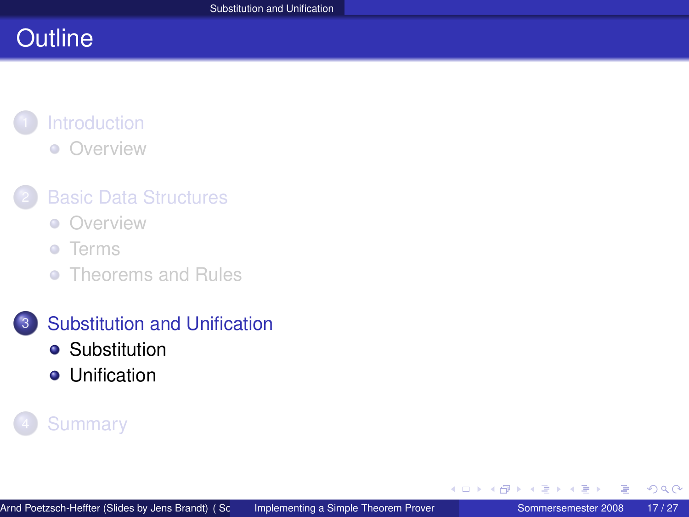# **Outline**

#### **[Introduction](#page-1-0)** [Overview](#page-2-0)  $\bullet$

### **[Basic Data Structures](#page-3-0)**

- **[Overview](#page-4-0)**
- **o** [Terms](#page-5-0)
- [Theorems and Rules](#page-10-0)

### 3 [Substitution and Unification](#page-16-0)

- **•** [Substitution](#page-17-0)
- **•** [Unification](#page-22-0)

### **[Summary](#page-25-0)**

<span id="page-16-0"></span>重

 $\leftarrow$ 

 $\mathbf{F} = \mathbf{d}$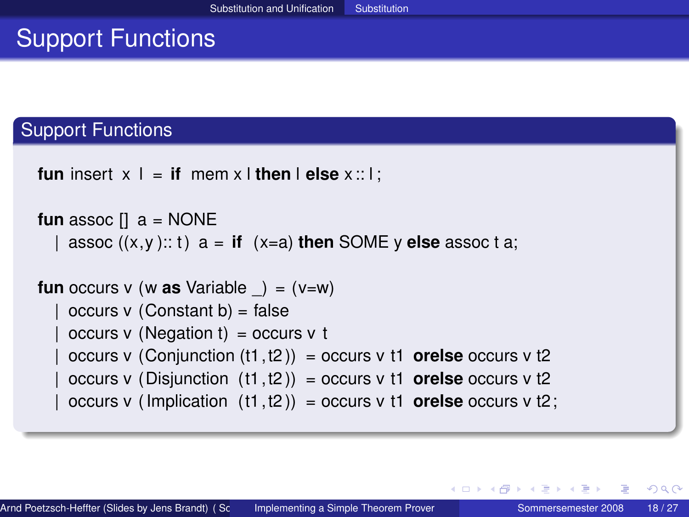# Support Functions

#### Support Functions

```
fun insert x \perp = if mem x \perp then \parallel else x :: \perp;
```

```
fun assoc \begin{bmatrix} 1 \\ 0 \\ 0 \end{bmatrix} a = NONE
    assoc ((x,y):: t) a = if (x=a) then SOME y else assoc t a;
fun occurs v (w as Variable \rightarrow = (v=w)
    occurs v (Constant b) = falseoccurs v (Negation t) = occurs v t
    occurs v (Conjunction (t1, t2)) = occurs v t1 orelse occurs v t2
    occurs v (Disjunction (t1, t2)) = occurs v t1 orelse occurs v t2
```
 $occurs v$  (Implication  $(t1, t2)$ ) = occurs v t1 **orelse** occurs v t2;

<span id="page-17-0"></span>イロト イ母 トイヨ トイヨ トーヨ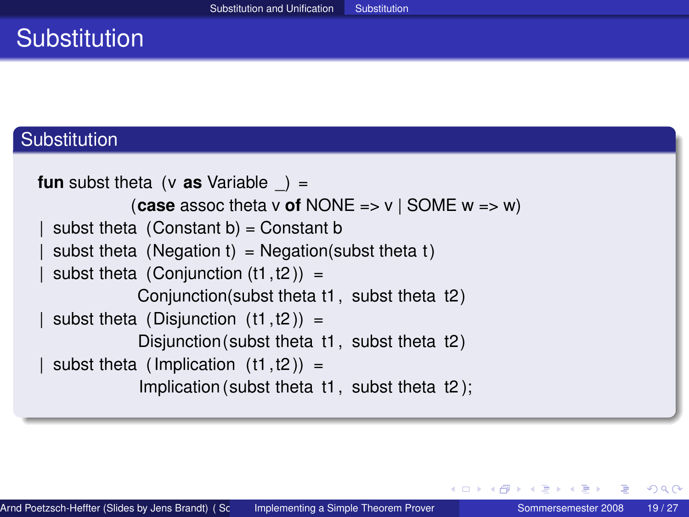# **Substitution**

#### **Substitution**

```
fun subst theta (v as Variable ) =
            (case assoc theta v of NONE => v | SOME w => w)
 subst theta (Constant b) = Constant bsubst theta (Negation t) = Negation(subst theta t)
 subst theta (Conjunction (t1, t2)) =
             Conjunction(subst theta t1, subst theta t2 )
 subst theta (Disjunction (t1, t2)) =
             Disjunction (subst theta t1, subst theta t2)
 subst theta (Implication (t1, t2)) =
             Implication (subst theta t1, subst theta t2 );
```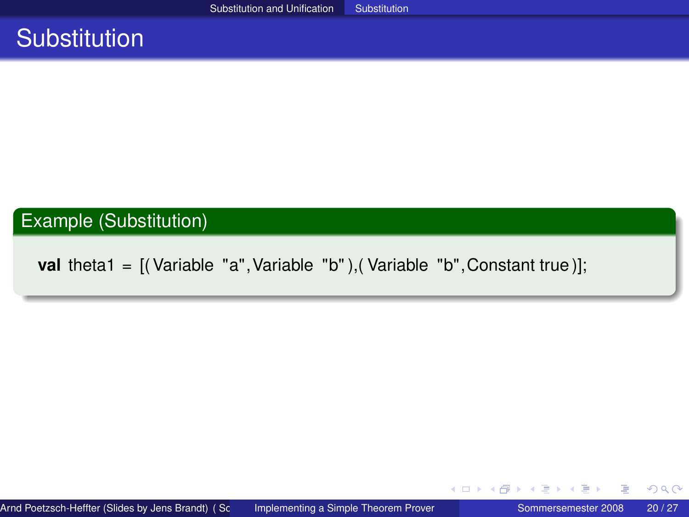### **Substitution**

#### Example (Substitution)

**val** theta1 = [(Variable "a", Variable "b"), (Variable "b", Constant true)];

扂

メロトメ 御 トメ ミトメ ミト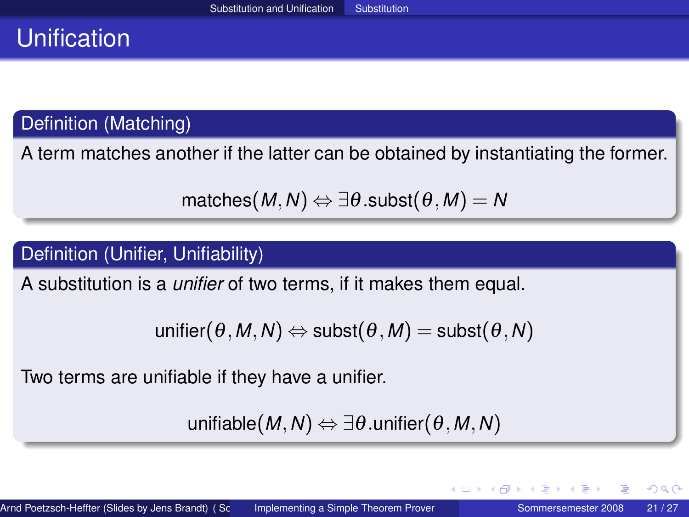# Unification

Definition (Matching)

A term matches another if the latter can be obtained by instantiating the former.

```
matches(M, N) \Leftrightarrow \exists \theta.subst(\theta, M) = N
```
#### Definition (Unifier, Unifiability)

A substitution is a *unifier* of two terms, if it makes them equal.

```
unifier(\theta, M, N) \Leftrightarrow \text{subst}(\theta, M) = \text{subst}(\theta, N)
```
Two terms are unifiable if they have a unifier.

unifiable $(M, N) \Leftrightarrow \exists \theta$ .unifier $(\theta, M, N)$ 

 $QQ$ 

K ロ ▶ K 御 ▶ K 唐 ▶ K 唐 ▶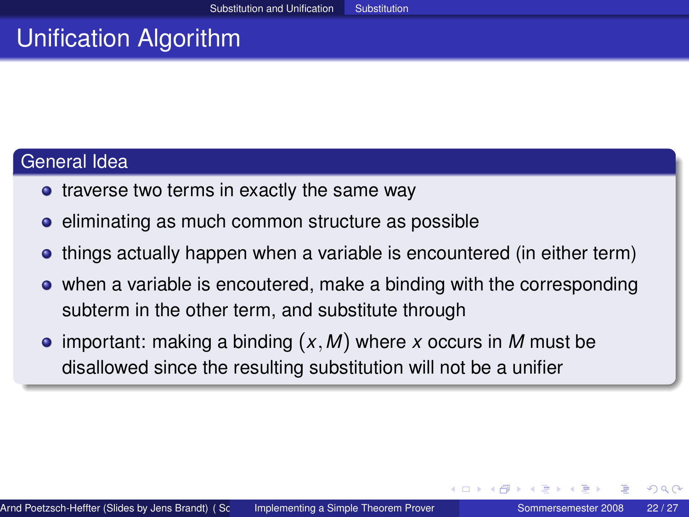# Unification Algorithm

#### General Idea

- traverse two terms in exactly the same way
- eliminating as much common structure as possible
- things actually happen when a variable is encountered (in either term)
- when a variable is encoutered, make a binding with the corresponding subterm in the other term, and substitute through
- important: making a binding (*x*,*M*) where *x* occurs in *M* must be disallowed since the resulting substitution will not be a unifier

つくへ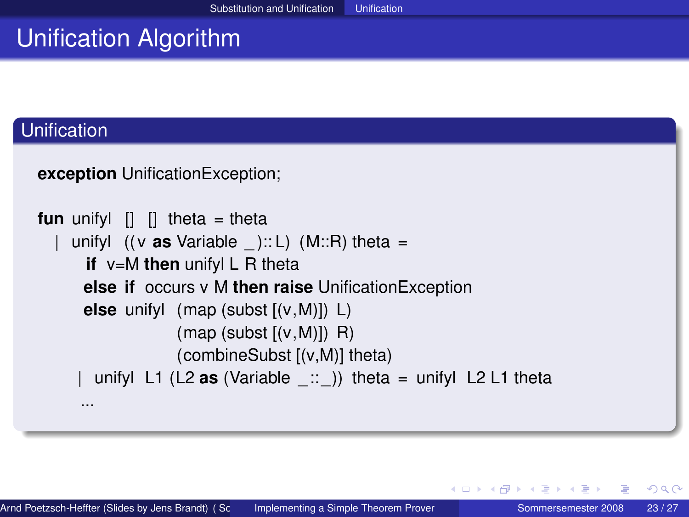# Unification Algorithm

#### Unification

```
exception UnificationException;
```

```
fun unifyl \begin{bmatrix} 1 \\ 1 \end{bmatrix} theta = theta
     unifyl ((v \text{ as Variable } ): L) (M::R) theta =
        if v=M then unifyl L R theta
        else if occurs v M then raise UnificationException
        else unifyl (map (subst [(v,M)]) L)
                        (\text{map} (\text{subst} [(\mathsf{v}, \mathsf{M})]) \; \; \mathsf{R})(combineSubst [(v,M)] theta)
         unifyl L1 (L2 \text{as} (Variable \therefore )) theta = unifyl L2 L1 theta
       ...
```
<span id="page-22-0"></span>イロト イ母 トイヨ トイヨト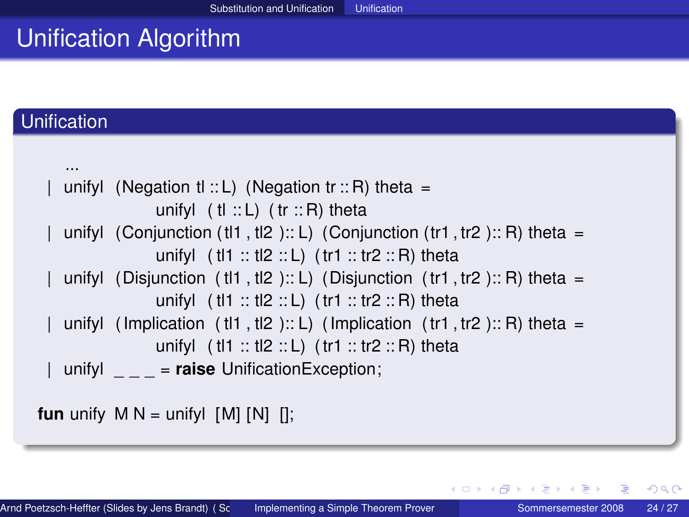# Unification Algorithm

#### **Unification**

...

```
unifyl (Negation tl :: L) (Negation tr :: R) theta =
             unifyl (H :: L) (tr :: R) theta
unifyl (Conjunction (tl1, tl2 ):: L) (Conjunction (tr1, tr2 ):: R) theta =
             unifyl (H1 :: tl2 :: L) (tr1 :: tr2 :: R) theta
unifyl (Disjunction (t11, t2):: L) (Disjunction (t11, t2):: R) theta =
             unifyl (H1 :: tl2 :: L) (tr1 :: tr2 :: R) theta
unifyl (Implication (t11, t2):: L) (Implication (t11, t2): R) theta =
             unifyl (H1 :: tl2 :: L) (tr1 :: tr2 :: R) theta
| unifyl _ _ _ = raise UnificationException;
```
**fun** unify  $M N =$  unifyl  $[M] [N] [$ ;

 $2Q$ 

K ロ ▶ K 御 ▶ K 君 ▶ K 君 ▶ │ 君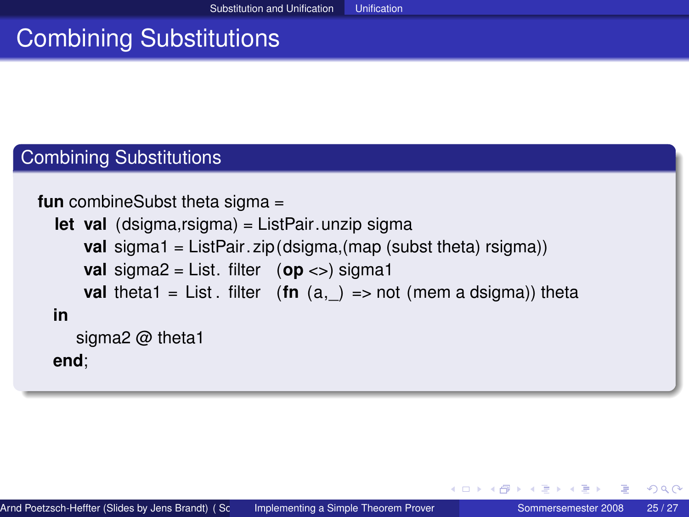# Combining Substitutions

#### Combining Substitutions

```
fun combineSubst theta sigma =
```

```
let val (dsigma,rsigma) = ListPair.unzip sigma
    val sigma1 = ListPair. zip (dsigma,(map (subst theta) rsigma))
    val sigma2 = List. filter (op <>) sigma1
    val theta1 = List. filter (\text{fn}(a,)) == \text{not}(m, a) a dsigma)) theta
in
   sigma2 @ theta1
end;
```
(□ ) (@ ) (□ )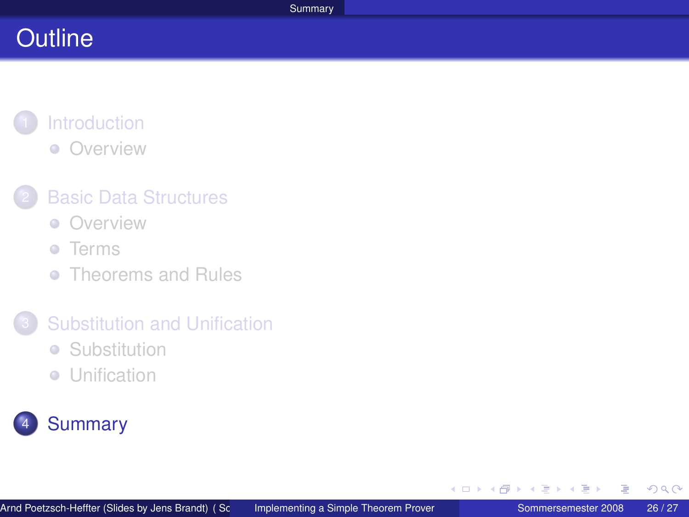# **Outline**

### **[Introduction](#page-1-0) •** [Overview](#page-2-0)

### **[Basic Data Structures](#page-3-0)**

**[Overview](#page-4-0)** 

#### **o** [Terms](#page-5-0)

**• [Theorems and Rules](#page-10-0)** 

#### 3 [Substitution and Unification](#page-16-0)

- **•** [Substitution](#page-17-0)
- **•** [Unification](#page-22-0)



<span id="page-25-0"></span>4 重

( □ ) ( <sub>□</sub> )

医尿道尿